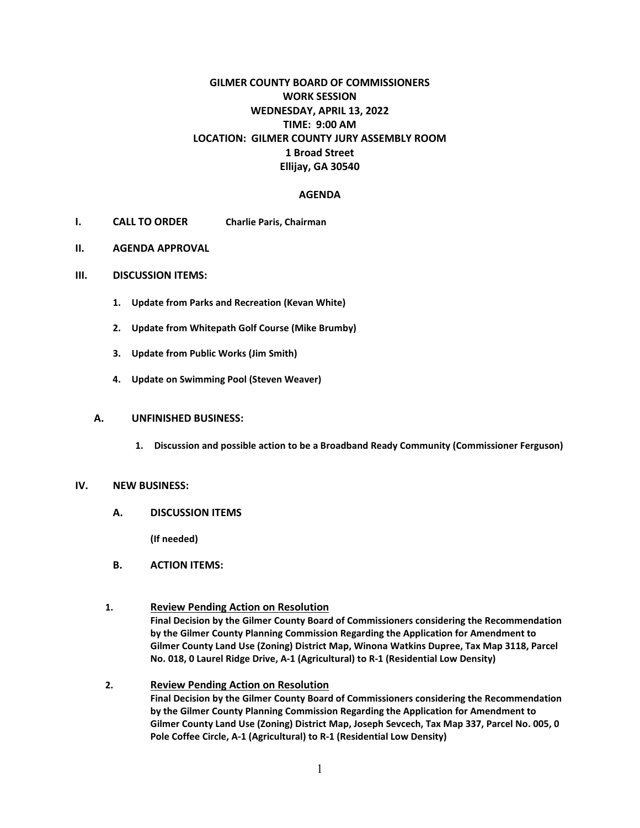## **GILMER COUNTY BOARD OF COMMISSIONERS WORK SESSION WEDNESDAY, APRIL 13, 2022 TIME: 9:00 AM LOCATION: GILMER COUNTY JURY ASSEMBLY ROOM 1 Broad Street Ellijay, GA 30540**

#### **AGENDA**

- **I. CALL TO ORDER Charlie Paris, Chairman**
- **II. AGENDA APPROVAL**

#### **III. DISCUSSION ITEMS:**

- **1. Update from Parks and Recreation (Kevan White)**
- **2. Update from Whitepath Golf Course (Mike Brumby)**
- **3. Update from Public Works (Jim Smith)**
- **4. Update on Swimming Pool (Steven Weaver)**

#### **A. UNFINISHED BUSINESS:**

**1. Discussion and possible action to be a Broadband Ready Community (Commissioner Ferguson)** 

#### **IV. NEW BUSINESS:**

**A. DISCUSSION ITEMS**

**(If needed)**

- **B. ACTION ITEMS:**
- **1. Review Pending Action on Resolution Final Decision by the Gilmer County Board of Commissioners considering the Recommendation by the Gilmer County Planning Commission Regarding the Application for Amendment to Gilmer County Land Use (Zoning) District Map, Winona Watkins Dupree, Tax Map 3118, Parcel No. 018, 0 Laurel Ridge Drive, A-1 (Agricultural) to R-1 (Residential Low Density)**
- **2. Review Pending Action on Resolution Final Decision by the Gilmer County Board of Commissioners considering the Recommendation by the Gilmer County Planning Commission Regarding the Application for Amendment to Gilmer County Land Use (Zoning) District Map, Joseph Sevcech, Tax Map 337, Parcel No. 005, 0 Pole Coffee Circle, A-1 (Agricultural) to R-1 (Residential Low Density)**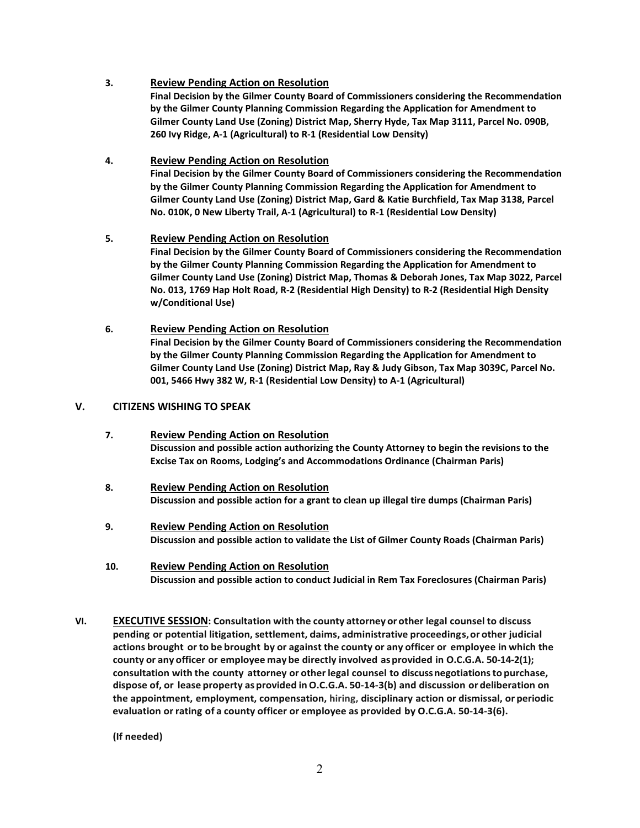### **3. Review Pending Action on Resolution**

**Final Decision by the Gilmer County Board of Commissioners considering the Recommendation by the Gilmer County Planning Commission Regarding the Application for Amendment to Gilmer County Land Use (Zoning) District Map, Sherry Hyde, Tax Map 3111, Parcel No. 090B, 260 Ivy Ridge, A-1 (Agricultural) to R-1 (Residential Low Density)** 

### **4. Review Pending Action on Resolution**

**Final Decision by the Gilmer County Board of Commissioners considering the Recommendation by the Gilmer County Planning Commission Regarding the Application for Amendment to Gilmer County Land Use (Zoning) District Map, Gard & Katie Burchfield, Tax Map 3138, Parcel No. 010K, 0 New Liberty Trail, A-1 (Agricultural) to R-1 (Residential Low Density)** 

#### **5. Review Pending Action on Resolution**

**Final Decision by the Gilmer County Board of Commissioners considering the Recommendation by the Gilmer County Planning Commission Regarding the Application for Amendment to Gilmer County Land Use (Zoning) District Map, Thomas & Deborah Jones, Tax Map 3022, Parcel No. 013, 1769 Hap Holt Road, R-2 (Residential High Density) to R-2 (Residential High Density w/Conditional Use)** 

# **6. Review Pending Action on Resolution**

**Final Decision by the Gilmer County Board of Commissioners considering the Recommendation by the Gilmer County Planning Commission Regarding the Application for Amendment to Gilmer County Land Use (Zoning) District Map, Ray & Judy Gibson, Tax Map 3039C, Parcel No. 001, 5466 Hwy 382 W, R-1 (Residential Low Density) to A-1 (Agricultural)** 

#### **V. CITIZENS WISHING TO SPEAK**

- **7. Review Pending Action on Resolution Discussion and possible action authorizing the County Attorney to begin the revisions to the Excise Tax on Rooms, Lodging's and Accommodations Ordinance (Chairman Paris)**
- **8. Review Pending Action on Resolution Discussion and possible action for a grant to clean up illegal tire dumps (Chairman Paris)**
- **9. Review Pending Action on Resolution Discussion and possible action to validate the List of Gilmer County Roads (Chairman Paris)**
- **10. Review Pending Action on Resolution Discussion and possible action to conduct Judicial in Rem Tax Foreclosures (Chairman Paris)**
- **VI. EXECUTIVE SESSION: Consultation with the county attorney or other legal counsel to discuss pending or potential litigation, settlement, claims, administrative proceedings,or other judicial actions brought or to be brought by or against the county or any officer or employee in which the county or any officer or employee may be directly involved asprovided in O.C.G.A. 50-14-2(1); consultation with the county attorney or otherlegal counsel to discuss negotiationsto purchase, dispose of, or lease property asprovided inO.C.G.A. 50-14-3(b) and discussion or deliberation on the appointment, employment, compensation, hiring, disciplinary action or dismissal, or periodic evaluation orrating of a county officer or employee as provided by O.C.G.A. 50-14-3(6).**

**(If needed)**